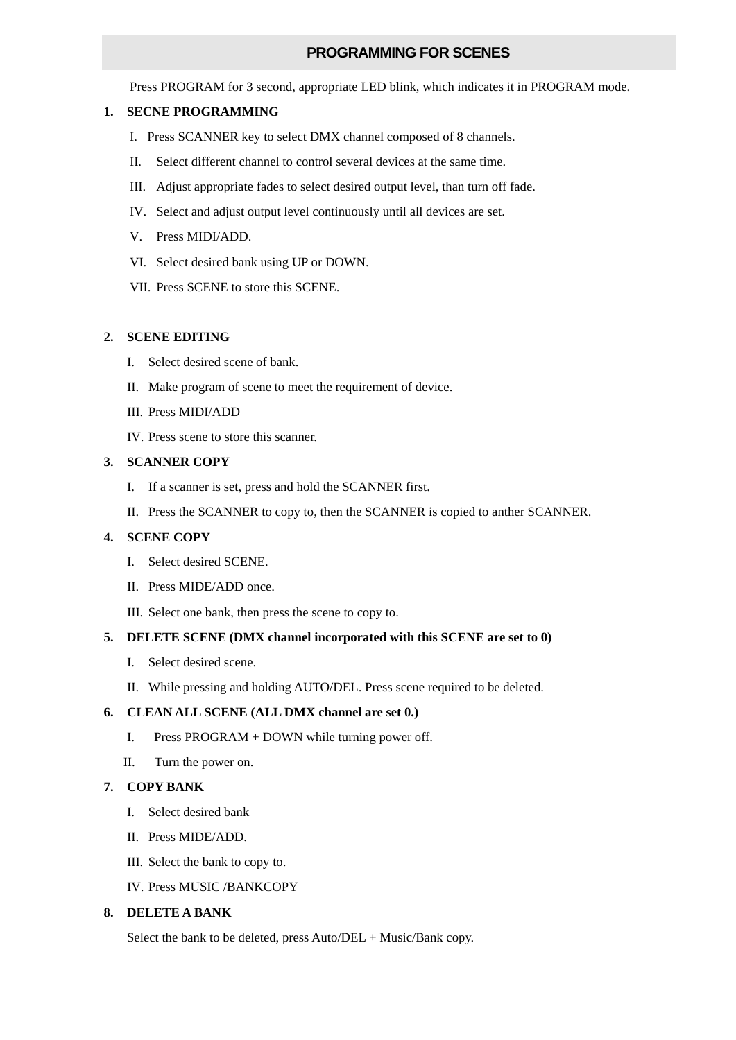## **PROGRAMMING FOR SCENES**

Press PROGRAM for 3 second, appropriate LED blink, which indicates it in PROGRAM mode.

#### **1. SECNE PROGRAMMING**

- I. Press SCANNER key to select DMX channel composed of 8 channels.
- II. Select different channel to control several devices at the same time.
- III. Adjust appropriate fades to select desired output level, than turn off fade.
- IV. Select and adjust output level continuously until all devices are set.
- V. Press MIDI/ADD.
- VI. Select desired bank using UP or DOWN.
- VII. Press SCENE to store this SCENE.

#### **2. SCENE EDITING**

- I. Select desired scene of bank.
- II. Make program of scene to meet the requirement of device.
- III. Press MIDI/ADD
- IV. Press scene to store this scanner.

#### **3. SCANNER COPY**

- I. If a scanner is set, press and hold the SCANNER first.
- II. Press the SCANNER to copy to, then the SCANNER is copied to anther SCANNER.

### **4. SCENE COPY**

- I. Select desired SCENE.
- II. Press MIDE/ADD once.
- III. Select one bank, then press the scene to copy to.

#### **5. DELETE SCENE (DMX channel incorporated with this SCENE are set to 0)**

- I. Select desired scene.
- II. While pressing and holding AUTO/DEL. Press scene required to be deleted.

#### **6. CLEAN ALL SCENE (ALL DMX channel are set 0.)**

- I. Press PROGRAM + DOWN while turning power off.
- II. Turn the power on.

### **7. COPY BANK**

- I. Select desired bank
- II. Press MIDE/ADD.
- III. Select the bank to copy to.
- IV. Press MUSIC /BANKCOPY

### **8. DELETE A BANK**

Select the bank to be deleted, press Auto/DEL + Music/Bank copy.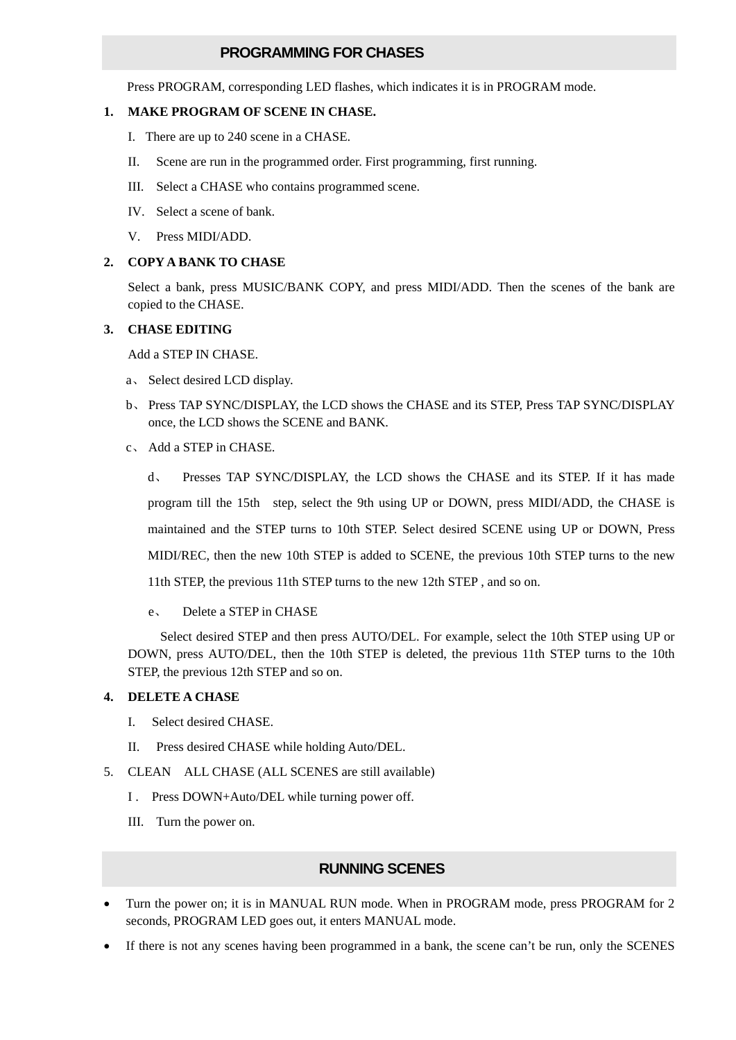## **PROGRAMMING FOR CHASES**

Press PROGRAM, corresponding LED flashes, which indicates it is in PROGRAM mode.

#### **1. MAKE PROGRAM OF SCENE IN CHASE.**

- I. There are up to 240 scene in a CHASE.
- II. Scene are run in the programmed order. First programming, first running.
- III. Select a CHASE who contains programmed scene.
- IV. Select a scene of bank.
- V. Press MIDI/ADD.

#### **2. COPY A BANK TO CHASE**

Select a bank, press MUSIC/BANK COPY, and press MIDI/ADD. Then the scenes of the bank are copied to the CHASE.

#### **3. CHASE EDITING**

Add a STEP IN CHASE.

- a、 Select desired LCD display.
- b、 Press TAP SYNC/DISPLAY, the LCD shows the CHASE and its STEP, Press TAP SYNC/DISPLAY once, the LCD shows the SCENE and BANK.
- c、 Add a STEP in CHASE.

d、 Presses TAP SYNC/DISPLAY, the LCD shows the CHASE and its STEP. If it has made program till the 15th step, select the 9th using UP or DOWN, press MIDI/ADD, the CHASE is maintained and the STEP turns to 10th STEP. Select desired SCENE using UP or DOWN, Press MIDI/REC, then the new 10th STEP is added to SCENE, the previous 10th STEP turns to the new 11th STEP, the previous 11th STEP turns to the new 12th STEP , and so on.

### e、 Delete a STEP in CHASE

 Select desired STEP and then press AUTO/DEL. For example, select the 10th STEP using UP or DOWN, press AUTO/DEL, then the 10th STEP is deleted, the previous 11th STEP turns to the 10th STEP, the previous 12th STEP and so on.

#### **4. DELETE A CHASE**

- I. Select desired CHASE.
- II. Press desired CHASE while holding Auto/DEL.
- 5. CLEAN ALL CHASE (ALL SCENES are still available)
	- I . Press DOWN+Auto/DEL while turning power off.
	- III. Turn the power on.

## **RUNNING SCENES**

- Turn the power on; it is in MANUAL RUN mode. When in PROGRAM mode, press PROGRAM for 2 seconds, PROGRAM LED goes out, it enters MANUAL mode.
- If there is not any scenes having been programmed in a bank, the scene can't be run, only the SCENES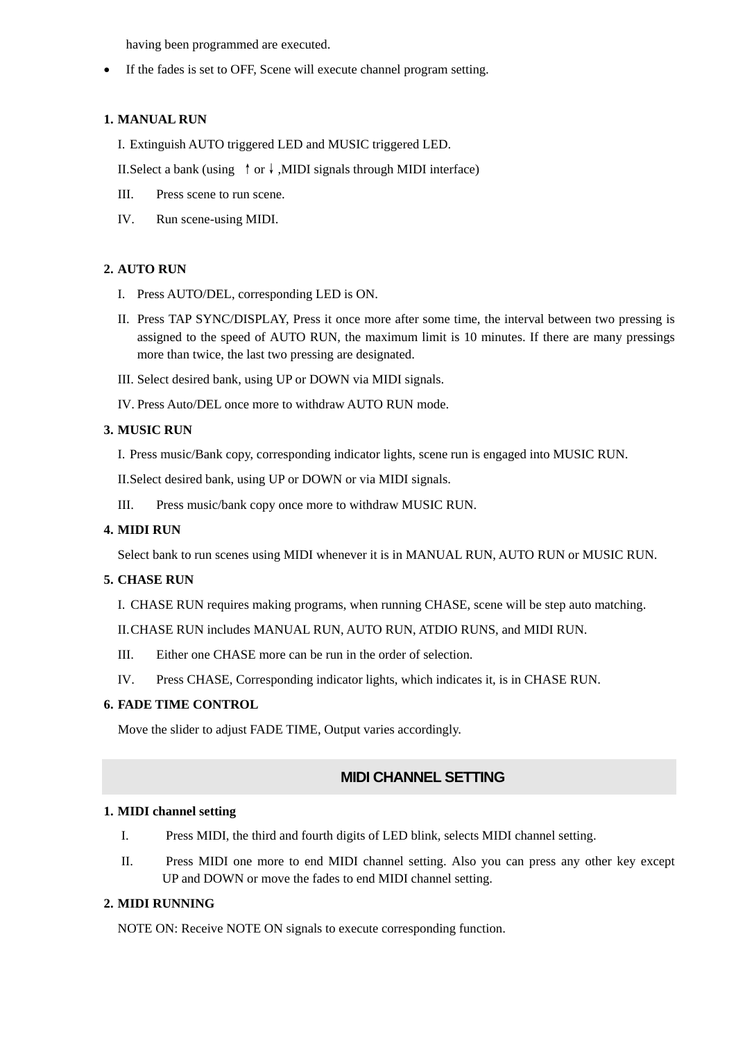having been programmed are executed.

• If the fades is set to OFF, Scene will execute channel program setting.

## **1. MANUAL RUN**

I. Extinguish AUTO triggered LED and MUSIC triggered LED.

II.Select a bank (using  $\uparrow$  or  $\downarrow$ ,MIDI signals through MIDI interface)

- III. Press scene to run scene.
- IV. Run scene-using MIDI.

## **2. AUTO RUN**

- I. Press AUTO/DEL, corresponding LED is ON.
- II. Press TAP SYNC/DISPLAY, Press it once more after some time, the interval between two pressing is assigned to the speed of AUTO RUN, the maximum limit is 10 minutes. If there are many pressings more than twice, the last two pressing are designated.
- III. Select desired bank, using UP or DOWN via MIDI signals.
- IV. Press Auto/DEL once more to withdraw AUTO RUN mode.

## **3. MUSIC RUN**

I. Press music/Bank copy, corresponding indicator lights, scene run is engaged into MUSIC RUN.

II.Select desired bank, using UP or DOWN or via MIDI signals.

III. Press music/bank copy once more to withdraw MUSIC RUN.

## **4. MIDI RUN**

Select bank to run scenes using MIDI whenever it is in MANUAL RUN, AUTO RUN or MUSIC RUN.

### **5. CHASE RUN**

I. CHASE RUN requires making programs, when running CHASE, scene will be step auto matching.

II.CHASE RUN includes MANUAL RUN, AUTO RUN, ATDIO RUNS, and MIDI RUN.

- III. Either one CHASE more can be run in the order of selection.
- IV. Press CHASE, Corresponding indicator lights, which indicates it, is in CHASE RUN.

### **6. FADE TIME CONTROL**

Move the slider to adjust FADE TIME, Output varies accordingly.

# **MIDI CHANNEL SETTING**

### **1. MIDI channel setting**

- I. Press MIDI, the third and fourth digits of LED blink, selects MIDI channel setting.
- II. Press MIDI one more to end MIDI channel setting. Also you can press any other key except UP and DOWN or move the fades to end MIDI channel setting.

## **2. MIDI RUNNING**

NOTE ON: Receive NOTE ON signals to execute corresponding function.